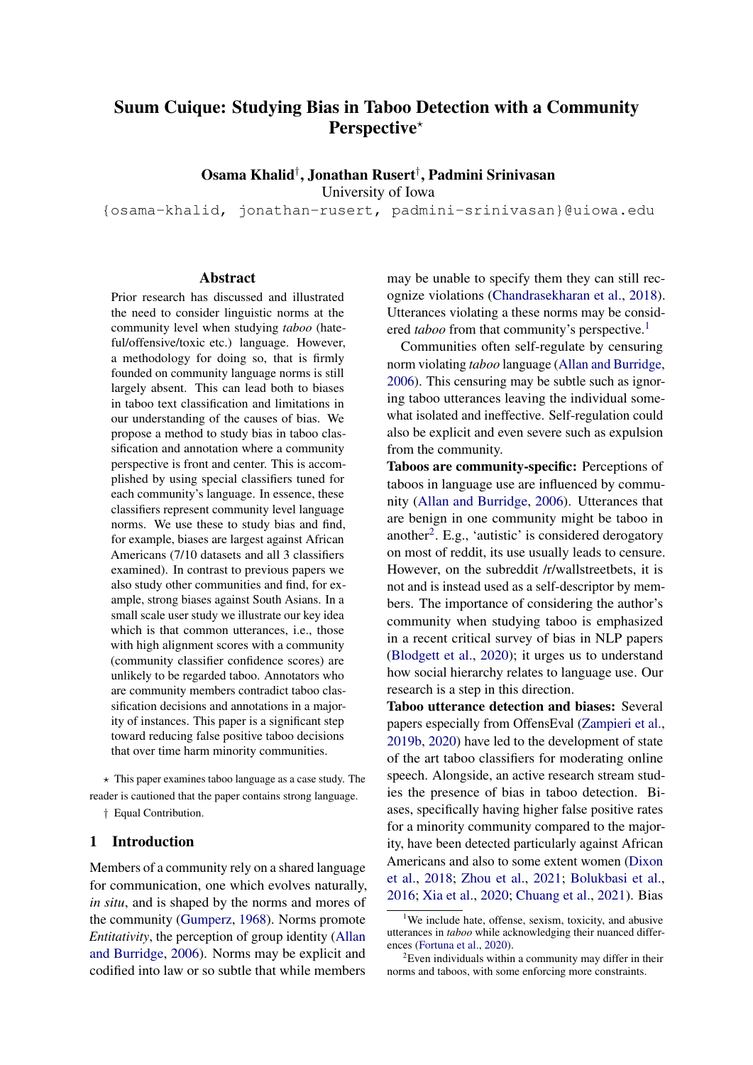# Suum Cuique: Studying Bias in Taboo Detection with a Community Perspective\*

Osama Khalid† , Jonathan Rusert† , Padmini Srinivasan

University of Iowa

{osama-khalid, jonathan-rusert, padmini-srinivasan}@uiowa.edu

## **Abstract**

Prior research has discussed and illustrated the need to consider linguistic norms at the community level when studying *taboo* (hateful/offensive/toxic etc.) language. However, a methodology for doing so, that is firmly founded on community language norms is still largely absent. This can lead both to biases in taboo text classification and limitations in our understanding of the causes of bias. We propose a method to study bias in taboo classification and annotation where a community perspective is front and center. This is accomplished by using special classifiers tuned for each community's language. In essence, these classifiers represent community level language norms. We use these to study bias and find, for example, biases are largest against African Americans (7/10 datasets and all 3 classifiers examined). In contrast to previous papers we also study other communities and find, for example, strong biases against South Asians. In a small scale user study we illustrate our key idea which is that common utterances, i.e., those with high alignment scores with a community (community classifier confidence scores) are unlikely to be regarded taboo. Annotators who are community members contradict taboo classification decisions and annotations in a majority of instances. This paper is a significant step toward reducing false positive taboo decisions that over time harm minority communities.

 $\star$  This paper examines taboo language as a case study. The reader is cautioned that the paper contains strong language. † Equal Contribution.

## 1 Introduction

Members of a community rely on a shared language for communication, one which evolves naturally, *in situ*, and is shaped by the norms and mores of the community [\(Gumperz,](#page-9-0) [1968\)](#page-9-0). Norms promote *Entitativity*, the perception of group identity [\(Allan](#page-8-0) [and Burridge,](#page-8-0) [2006\)](#page-8-0). Norms may be explicit and codified into law or so subtle that while members

may be unable to specify them they can still recognize violations [\(Chandrasekharan et al.,](#page-8-1) [2018\)](#page-8-1). Utterances violating a these norms may be considered *taboo* from that community's perspective.<sup>[1](#page-0-0)</sup>

Communities often self-regulate by censuring norm violating *taboo* language [\(Allan and Burridge,](#page-8-0) [2006\)](#page-8-0). This censuring may be subtle such as ignoring taboo utterances leaving the individual somewhat isolated and ineffective. Self-regulation could also be explicit and even severe such as expulsion from the community.

Taboos are community-specific: Perceptions of taboos in language use are influenced by community [\(Allan and Burridge,](#page-8-0) [2006\)](#page-8-0). Utterances that are benign in one community might be taboo in another<sup>[2](#page-0-1)</sup>. E.g., 'autistic' is considered derogatory on most of reddit, its use usually leads to censure. However, on the subreddit /r/wallstreetbets, it is not and is instead used as a self-descriptor by members. The importance of considering the author's community when studying taboo is emphasized in a recent critical survey of bias in NLP papers [\(Blodgett et al.,](#page-8-2) [2020\)](#page-8-2); it urges us to understand how social hierarchy relates to language use. Our research is a step in this direction.

Taboo utterance detection and biases: Several papers especially from OffensEval [\(Zampieri et al.,](#page-10-0) [2019b,](#page-10-0) [2020\)](#page-10-1) have led to the development of state of the art taboo classifiers for moderating online speech. Alongside, an active research stream studies the presence of bias in taboo detection. Biases, specifically having higher false positive rates for a minority community compared to the majority, have been detected particularly against African Americans and also to some extent women [\(Dixon](#page-9-1) [et al.,](#page-9-1) [2018;](#page-9-1) [Zhou et al.,](#page-10-2) [2021;](#page-10-2) [Bolukbasi et al.,](#page-8-3) [2016;](#page-8-3) [Xia et al.,](#page-10-3) [2020;](#page-10-3) [Chuang et al.,](#page-8-4) [2021\)](#page-8-4). Bias

<span id="page-0-0"></span><sup>&</sup>lt;sup>1</sup>We include hate, offense, sexism, toxicity, and abusive utterances in *taboo* while acknowledging their nuanced differences [\(Fortuna et al.,](#page-9-2) [2020\)](#page-9-2).

<span id="page-0-1"></span> $2^2$ Even individuals within a community may differ in their norms and taboos, with some enforcing more constraints.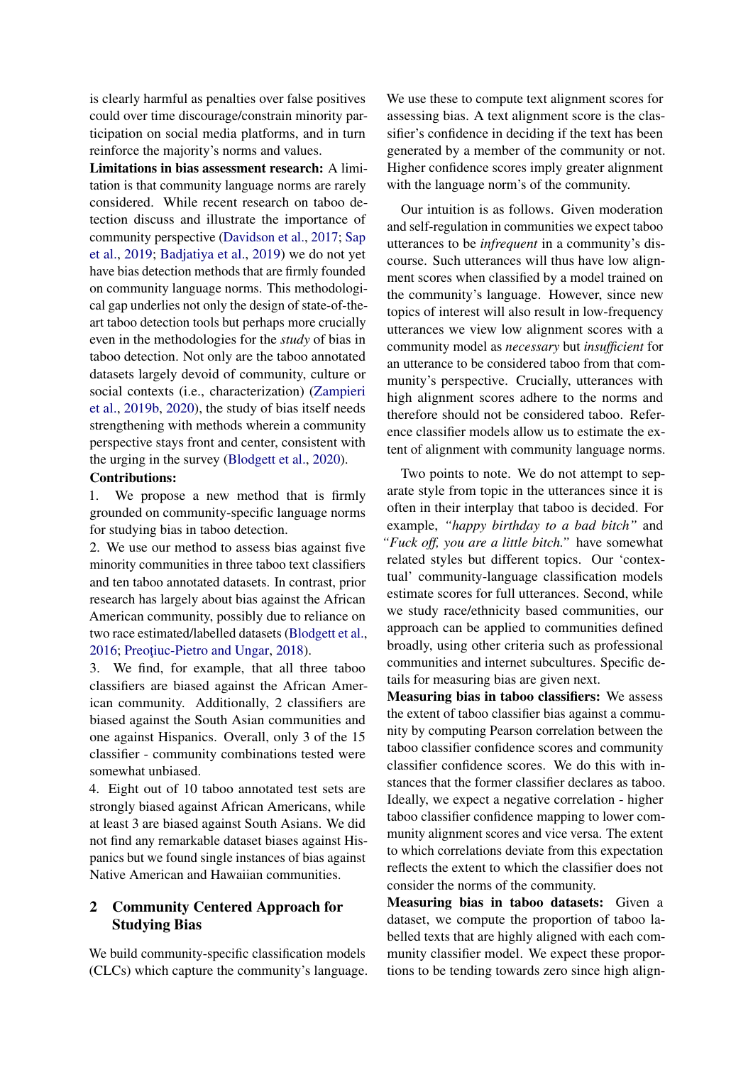is clearly harmful as penalties over false positives could over time discourage/constrain minority participation on social media platforms, and in turn reinforce the majority's norms and values.

Limitations in bias assessment research: A limitation is that community language norms are rarely considered. While recent research on taboo detection discuss and illustrate the importance of community perspective [\(Davidson et al.,](#page-8-5) [2017;](#page-8-5) [Sap](#page-9-3) [et al.,](#page-9-3) [2019;](#page-9-3) [Badjatiya et al.,](#page-8-6) [2019\)](#page-8-6) we do not yet have bias detection methods that are firmly founded on community language norms. This methodological gap underlies not only the design of state-of-theart taboo detection tools but perhaps more crucially even in the methodologies for the *study* of bias in taboo detection. Not only are the taboo annotated datasets largely devoid of community, culture or social contexts (i.e., characterization) [\(Zampieri](#page-10-0) [et al.,](#page-10-0) [2019b,](#page-10-0) [2020\)](#page-10-1), the study of bias itself needs strengthening with methods wherein a community perspective stays front and center, consistent with the urging in the survey [\(Blodgett et al.,](#page-8-2) [2020\)](#page-8-2).

### Contributions:

1. We propose a new method that is firmly grounded on community-specific language norms for studying bias in taboo detection.

2. We use our method to assess bias against five minority communities in three taboo text classifiers and ten taboo annotated datasets. In contrast, prior research has largely about bias against the African American community, possibly due to reliance on two race estimated/labelled datasets [\(Blodgett et al.,](#page-8-7) [2016;](#page-8-7) Preoțiuc-Pietro and Ungar, [2018\)](#page-9-4).

3. We find, for example, that all three taboo classifiers are biased against the African American community. Additionally, 2 classifiers are biased against the South Asian communities and one against Hispanics. Overall, only 3 of the 15 classifier - community combinations tested were somewhat unbiased.

4. Eight out of 10 taboo annotated test sets are strongly biased against African Americans, while at least 3 are biased against South Asians. We did not find any remarkable dataset biases against Hispanics but we found single instances of bias against Native American and Hawaiian communities.

## 2 Community Centered Approach for Studying Bias

We build community-specific classification models (CLCs) which capture the community's language. We use these to compute text alignment scores for assessing bias. A text alignment score is the classifier's confidence in deciding if the text has been generated by a member of the community or not. Higher confidence scores imply greater alignment with the language norm's of the community.

Our intuition is as follows. Given moderation and self-regulation in communities we expect taboo utterances to be *infrequent* in a community's discourse. Such utterances will thus have low alignment scores when classified by a model trained on the community's language. However, since new topics of interest will also result in low-frequency utterances we view low alignment scores with a community model as *necessary* but *insufficient* for an utterance to be considered taboo from that community's perspective. Crucially, utterances with high alignment scores adhere to the norms and therefore should not be considered taboo. Reference classifier models allow us to estimate the extent of alignment with community language norms.

Two points to note. We do not attempt to separate style from topic in the utterances since it is often in their interplay that taboo is decided. For example, *"happy birthday to a bad bitch"* and *"Fuck off, you are a little bitch."* have somewhat related styles but different topics. Our 'contextual' community-language classification models estimate scores for full utterances. Second, while we study race/ethnicity based communities, our approach can be applied to communities defined broadly, using other criteria such as professional communities and internet subcultures. Specific details for measuring bias are given next.

Measuring bias in taboo classifiers: We assess the extent of taboo classifier bias against a community by computing Pearson correlation between the taboo classifier confidence scores and community classifier confidence scores. We do this with instances that the former classifier declares as taboo. Ideally, we expect a negative correlation - higher taboo classifier confidence mapping to lower community alignment scores and vice versa. The extent to which correlations deviate from this expectation reflects the extent to which the classifier does not consider the norms of the community.

Measuring bias in taboo datasets: Given a dataset, we compute the proportion of taboo labelled texts that are highly aligned with each community classifier model. We expect these proportions to be tending towards zero since high align-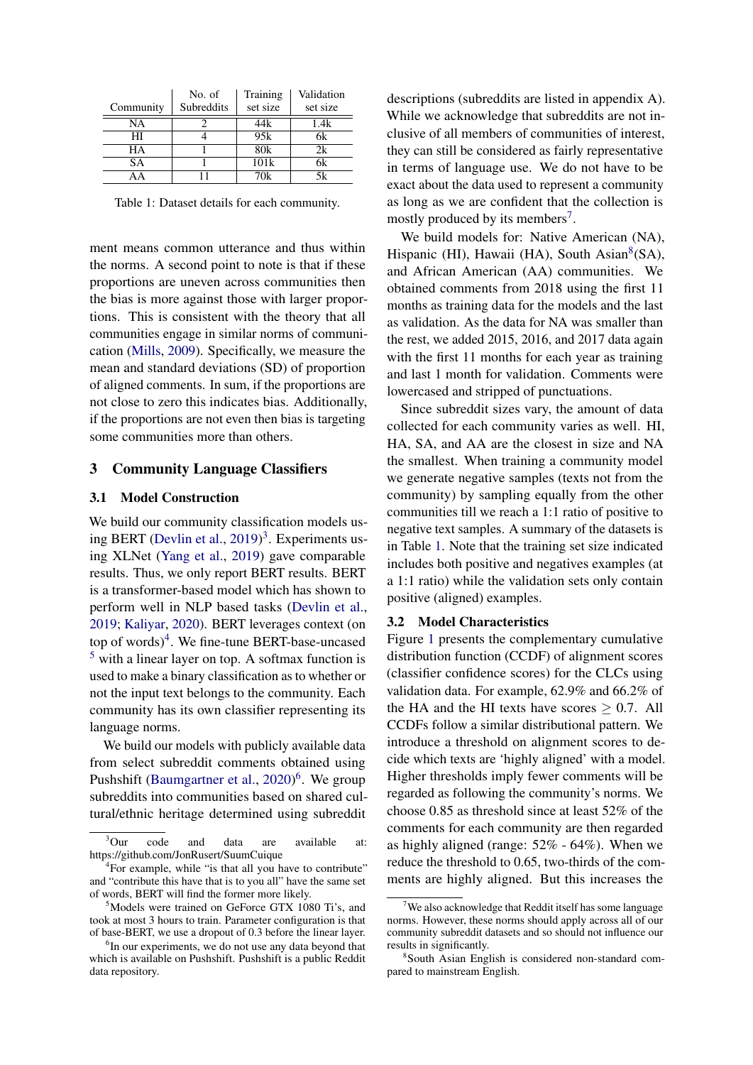<span id="page-2-6"></span>

|           | No. of     | Training         | Validation |
|-----------|------------|------------------|------------|
| Community | Subreddits | set size         | set size   |
| NA        |            | 44k              | 1.4k       |
| HІ        |            | 95k              |            |
| HА        |            | 80k              | 2k         |
| <b>SA</b> |            | 101k             | 6k         |
|           |            | $70\overline{k}$ |            |

Table 1: Dataset details for each community.

ment means common utterance and thus within the norms. A second point to note is that if these proportions are uneven across communities then the bias is more against those with larger proportions. This is consistent with the theory that all communities engage in similar norms of communication [\(Mills,](#page-9-5) [2009\)](#page-9-5). Specifically, we measure the mean and standard deviations (SD) of proportion of aligned comments. In sum, if the proportions are not close to zero this indicates bias. Additionally, if the proportions are not even then bias is targeting some communities more than others.

### 3 Community Language Classifiers

### 3.1 Model Construction

We build our community classification models us-ing BERT [\(Devlin et al.,](#page-8-8) [2019\)](#page-8-8)<sup>[3](#page-2-0)</sup>. Experiments using XLNet [\(Yang et al.,](#page-10-4) [2019\)](#page-10-4) gave comparable results. Thus, we only report BERT results. BERT is a transformer-based model which has shown to perform well in NLP based tasks [\(Devlin et al.,](#page-8-8) [2019;](#page-8-8) [Kaliyar,](#page-9-6) [2020\)](#page-9-6). BERT leverages context (on top of words)<sup>[4](#page-2-1)</sup>. We fine-tune BERT-base-uncased  $<sup>5</sup>$  $<sup>5</sup>$  $<sup>5</sup>$  with a linear layer on top. A softmax function is</sup> used to make a binary classification as to whether or not the input text belongs to the community. Each community has its own classifier representing its language norms.

We build our models with publicly available data from select subreddit comments obtained using Pushshift [\(Baumgartner et al.,](#page-8-9) [2020\)](#page-8-9)<sup>[6](#page-2-3)</sup>. We group subreddits into communities based on shared cultural/ethnic heritage determined using subreddit

descriptions (subreddits are listed in appendix A). While we acknowledge that subreddits are not inclusive of all members of communities of interest, they can still be considered as fairly representative in terms of language use. We do not have to be exact about the data used to represent a community as long as we are confident that the collection is mostly produced by its members<sup>[7](#page-2-4)</sup>.

We build models for: Native American (NA), Hispanic (HI), Hawaii (HA), South Asian<sup>[8](#page-2-5)</sup>(SA), and African American (AA) communities. We obtained comments from 2018 using the first 11 months as training data for the models and the last as validation. As the data for NA was smaller than the rest, we added 2015, 2016, and 2017 data again with the first 11 months for each year as training and last 1 month for validation. Comments were lowercased and stripped of punctuations.

Since subreddit sizes vary, the amount of data collected for each community varies as well. HI, HA, SA, and AA are the closest in size and NA the smallest. When training a community model we generate negative samples (texts not from the community) by sampling equally from the other communities till we reach a 1:1 ratio of positive to negative text samples. A summary of the datasets is in Table [1.](#page-2-6) Note that the training set size indicated includes both positive and negatives examples (at a 1:1 ratio) while the validation sets only contain positive (aligned) examples.

### <span id="page-2-7"></span>3.2 Model Characteristics

Figure [1](#page-3-0) presents the complementary cumulative distribution function (CCDF) of alignment scores (classifier confidence scores) for the CLCs using validation data. For example, 62.9% and 66.2% of the HA and the HI texts have scores  $\geq 0.7$ . All CCDFs follow a similar distributional pattern. We introduce a threshold on alignment scores to decide which texts are 'highly aligned' with a model. Higher thresholds imply fewer comments will be regarded as following the community's norms. We choose 0.85 as threshold since at least 52% of the comments for each community are then regarded as highly aligned (range: 52% - 64%). When we reduce the threshold to 0.65, two-thirds of the comments are highly aligned. But this increases the

<span id="page-2-0"></span> $3$ Our code and data are available at: https://github.com/JonRusert/SuumCuique

<span id="page-2-1"></span><sup>&</sup>lt;sup>4</sup>For example, while "is that all you have to contribute" and "contribute this have that is to you all" have the same set of words, BERT will find the former more likely.

<span id="page-2-2"></span><sup>5</sup>Models were trained on GeForce GTX 1080 Ti's, and took at most 3 hours to train. Parameter configuration is that of base-BERT, we use a dropout of 0.3 before the linear layer.

<span id="page-2-3"></span><sup>&</sup>lt;sup>6</sup>In our experiments, we do not use any data beyond that which is available on Pushshift. Pushshift is a public Reddit data repository.

<span id="page-2-4"></span>We also acknowledge that Reddit itself has some language norms. However, these norms should apply across all of our community subreddit datasets and so should not influence our results in significantly.

<span id="page-2-5"></span><sup>8</sup> South Asian English is considered non-standard compared to mainstream English.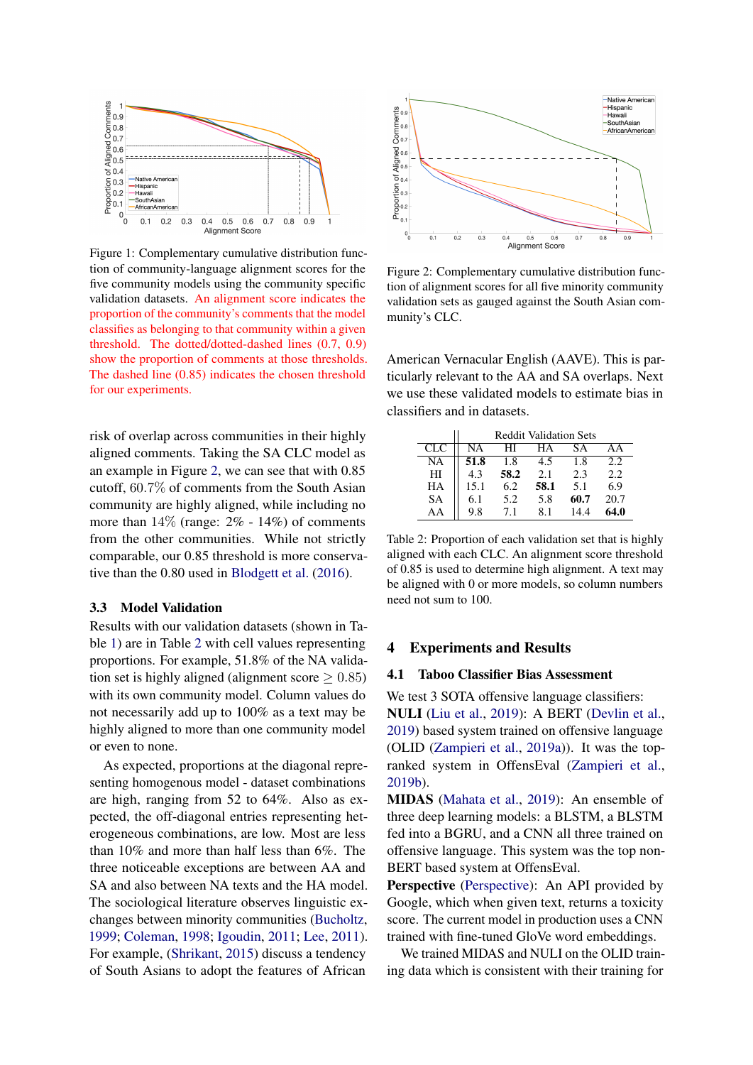<span id="page-3-0"></span>

Figure 1: Complementary cumulative distribution function of community-language alignment scores for the five community models using the community specific validation datasets. An alignment score indicates the proportion of the community's comments that the model classifies as belonging to that community within a given threshold. The dotted/dotted-dashed lines (0.7, 0.9) show the proportion of comments at those thresholds. The dashed line (0.85) indicates the chosen threshold for our experiments.

risk of overlap across communities in their highly aligned comments. Taking the SA CLC model as an example in Figure [2,](#page-3-1) we can see that with 0.85 cutoff, 60.7% of comments from the South Asian community are highly aligned, while including no more than  $14\%$  (range:  $2\%$  -  $14\%$ ) of comments from the other communities. While not strictly comparable, our 0.85 threshold is more conservative than the 0.80 used in [Blodgett et al.](#page-8-7) [\(2016\)](#page-8-7).

### 3.3 Model Validation

Results with our validation datasets (shown in Table [1\)](#page-2-6) are in Table [2](#page-3-2) with cell values representing proportions. For example, 51.8% of the NA validation set is highly aligned (alignment score  $\geq 0.85$ ) with its own community model. Column values do not necessarily add up to 100% as a text may be highly aligned to more than one community model or even to none.

As expected, proportions at the diagonal representing homogenous model - dataset combinations are high, ranging from 52 to 64%. Also as expected, the off-diagonal entries representing heterogeneous combinations, are low. Most are less than 10% and more than half less than 6%. The three noticeable exceptions are between AA and SA and also between NA texts and the HA model. The sociological literature observes linguistic exchanges between minority communities [\(Bucholtz,](#page-8-10) [1999;](#page-8-10) [Coleman,](#page-8-11) [1998;](#page-8-11) [Igoudin,](#page-9-7) [2011;](#page-9-7) [Lee,](#page-9-8) [2011\)](#page-9-8). For example, [\(Shrikant,](#page-9-9) [2015\)](#page-9-9) discuss a tendency of South Asians to adopt the features of African

<span id="page-3-1"></span>

Figure 2: Complementary cumulative distribution function of alignment scores for all five minority community validation sets as gauged against the South Asian community's CLC.

American Vernacular English (AAVE). This is particularly relevant to the AA and SA overlaps. Next we use these validated models to estimate bias in classifiers and in datasets.

<span id="page-3-2"></span>

|           | <b>Reddit Validation Sets</b> |      |      |      |          |  |
|-----------|-------------------------------|------|------|------|----------|--|
| CLC       | NA                            | HІ   | HА   | SА   | $\Delta$ |  |
| NA        | 51.8                          | 1.8  | 4.5  | 1.8  | 2.2      |  |
| HI        | 4.3                           | 58.2 | 2.1  | 2.3  | 2.2      |  |
| HА        | 15.1                          | 6.2  | 58.1 | 5.1  | 6.9      |  |
| <b>SA</b> | 6.1                           | 5.2  | 5.8  | 60.7 | 20.7     |  |
| AΑ        | 9.8                           | 7.1  | 8.1  | 144  | 64.0     |  |

Table 2: Proportion of each validation set that is highly aligned with each CLC. An alignment score threshold of 0.85 is used to determine high alignment. A text may be aligned with 0 or more models, so column numbers need not sum to 100.

## 4 Experiments and Results

## 4.1 Taboo Classifier Bias Assessment

We test 3 SOTA offensive language classifiers: NULI [\(Liu et al.,](#page-9-10) [2019\)](#page-9-10): A BERT [\(Devlin et al.,](#page-8-8) [2019\)](#page-8-8) based system trained on offensive language (OLID [\(Zampieri et al.,](#page-10-5) [2019a\)](#page-10-5)). It was the topranked system in OffensEval [\(Zampieri et al.,](#page-10-0) [2019b\)](#page-10-0).

MIDAS [\(Mahata et al.,](#page-9-11) [2019\)](#page-9-11): An ensemble of three deep learning models: a BLSTM, a BLSTM fed into a BGRU, and a CNN all three trained on offensive language. This system was the top non-BERT based system at OffensEval.

Perspective [\(Perspective\)](#page-9-12): An API provided by Google, which when given text, returns a toxicity score. The current model in production uses a CNN trained with fine-tuned GloVe word embeddings.

We trained MIDAS and NULI on the OLID training data which is consistent with their training for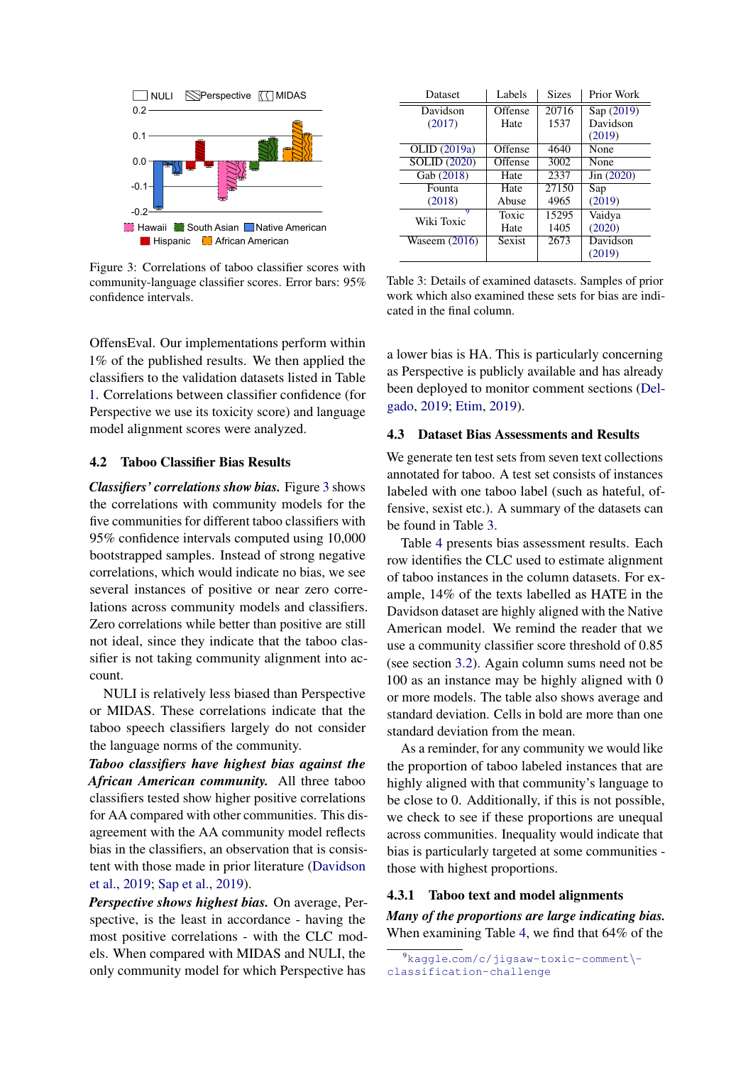<span id="page-4-0"></span>

Figure 3: Correlations of taboo classifier scores with community-language classifier scores. Error bars: 95% confidence intervals.

OffensEval. Our implementations perform within 1% of the published results. We then applied the classifiers to the validation datasets listed in Table [1.](#page-2-6) Correlations between classifier confidence (for Perspective we use its toxicity score) and language model alignment scores were analyzed.

### 4.2 Taboo Classifier Bias Results

*Classifiers' correlations show bias.* Figure [3](#page-4-0) shows the correlations with community models for the five communities for different taboo classifiers with 95% confidence intervals computed using 10,000 bootstrapped samples. Instead of strong negative correlations, which would indicate no bias, we see several instances of positive or near zero correlations across community models and classifiers. Zero correlations while better than positive are still not ideal, since they indicate that the taboo classifier is not taking community alignment into account.

NULI is relatively less biased than Perspective or MIDAS. These correlations indicate that the taboo speech classifiers largely do not consider the language norms of the community.

*Taboo classifiers have highest bias against the African American community.* All three taboo classifiers tested show higher positive correlations for AA compared with other communities. This disagreement with the AA community model reflects bias in the classifiers, an observation that is consistent with those made in prior literature [\(Davidson](#page-8-12) [et al.,](#page-8-12) [2019;](#page-8-12) [Sap et al.,](#page-9-3) [2019\)](#page-9-3).

*Perspective shows highest bias.* On average, Perspective, is the least in accordance - having the most positive correlations - with the CLC models. When compared with MIDAS and NULI, the only community model for which Perspective has

<span id="page-4-2"></span>

| Dataset             | Labels  | <b>Sizes</b>      | Prior Work          |
|---------------------|---------|-------------------|---------------------|
| Davidson            | Offense | 20716             | Sap (2019)          |
| (2017)              | Hate    | 1537              | Davidson            |
|                     |         |                   | (2019)              |
| OLID (2019a)        | Offense | 4640              | None                |
| <b>SOLID (2020)</b> | Offense | 3002              | None                |
| Gab (2018)          | Hate    | 2337              | $\text{Jin} (2020)$ |
| Founta              | Hate    | 27150             | Sap                 |
| (2018)              | Abuse   | 4965              | (2019)              |
| 9<br>Wiki Toxic     | Toxic   | 15295             | Vaidya              |
|                     | Hate    | 1405              | (2020)              |
| Waseem $(2016)$     | Sexist  | $267\overline{3}$ | Davidson            |
|                     |         |                   | (2019)              |

Table 3: Details of examined datasets. Samples of prior work which also examined these sets for bias are indicated in the final column.

a lower bias is HA. This is particularly concerning as Perspective is publicly available and has already been deployed to monitor comment sections [\(Del](#page-8-13)[gado,](#page-8-13) [2019;](#page-8-13) [Etim,](#page-9-17) [2019\)](#page-9-17).

## 4.3 Dataset Bias Assessments and Results

We generate ten test sets from seven text collections annotated for taboo. A test set consists of instances labeled with one taboo label (such as hateful, offensive, sexist etc.). A summary of the datasets can be found in Table [3.](#page-4-2)

Table [4](#page-5-0) presents bias assessment results. Each row identifies the CLC used to estimate alignment of taboo instances in the column datasets. For example, 14% of the texts labelled as HATE in the Davidson dataset are highly aligned with the Native American model. We remind the reader that we use a community classifier score threshold of 0.85 (see section [3.2\)](#page-2-7). Again column sums need not be 100 as an instance may be highly aligned with 0 or more models. The table also shows average and standard deviation. Cells in bold are more than one standard deviation from the mean.

As a reminder, for any community we would like the proportion of taboo labeled instances that are highly aligned with that community's language to be close to 0. Additionally, if this is not possible, we check to see if these proportions are unequal across communities. Inequality would indicate that bias is particularly targeted at some communities those with highest proportions.

## 4.3.1 Taboo text and model alignments

*Many of the proportions are large indicating bias.* When examining Table [4,](#page-5-0) we find that 64% of the

<span id="page-4-1"></span><sup>9</sup>kaggle.[com/c/jigsaw-toxic-comment](kaggle.com/c/jigsaw-toxic-comment\ -classification-challenge)\ [classification-challenge](kaggle.com/c/jigsaw-toxic-comment\ -classification-challenge)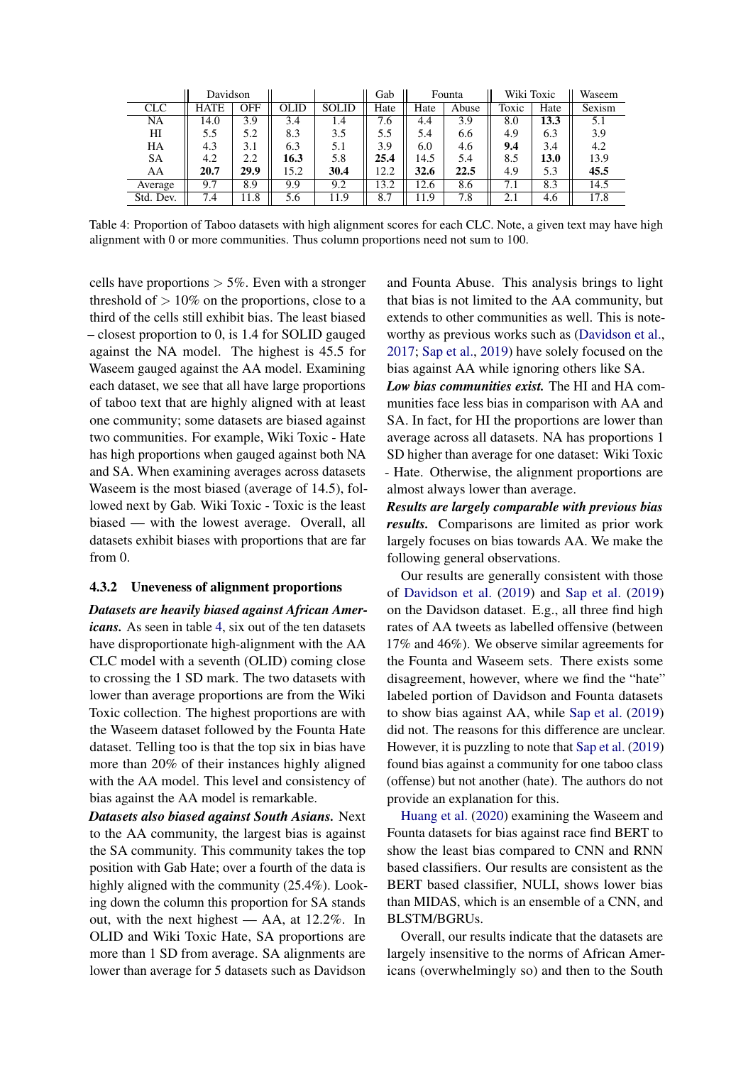<span id="page-5-0"></span>

|            | Davidson    |      |      |              | Gab  |      | Founta | Wiki Toxic |      | Waseem |
|------------|-------------|------|------|--------------|------|------|--------|------------|------|--------|
| <b>CLC</b> | <b>HATE</b> | OFF  | OLID | <b>SOLID</b> | Hate | Hate | Abuse  | Toxic      | Hate | Sexism |
| NA         | 14.0        | 3.9  | 3.4  | 1.4          | 6.6  | 4.4  | 3.9    | 8.0        | 13.3 | 5.1    |
| HI         | 5.5         | 5.2  | 8.3  | 3.5          | 5.5  | 5.4  | 6.6    | 4.9        | 6.3  | 3.9    |
| HA         | 4.3         | 3.1  | 6.3  | 5.1          | 3.9  | 6.0  | 4.6    | 9.4        | 3.4  | 4.2    |
| <b>SA</b>  | 4.2         | 2.2  | 16.3 | 5.8          | 25.4 | 14.5 | 5.4    | 8.5        | 13.0 | 13.9   |
| AA         | 20.7        | 29.9 | 15.2 | 30.4         | 12.2 | 32.6 | 22.5   | 4.9        | 5.3  | 45.5   |
| Average    | 9.7         | 8.9  | 9.9  | 9.2          | 13.2 | 12.6 | 8.6    | 7.1        | 8.3  | 14.5   |
| Std. Dev.  | 7.4         | 11.8 | 5.6  | 11.9         | 8.7  | 11.9 | 7.8    | 2.1        | 4.6  | 17.8   |

Table 4: Proportion of Taboo datasets with high alignment scores for each CLC. Note, a given text may have high alignment with 0 or more communities. Thus column proportions need not sum to 100.

cells have proportions  $> 5\%$ . Even with a stronger threshold of  $> 10\%$  on the proportions, close to a third of the cells still exhibit bias. The least biased – closest proportion to 0, is 1.4 for SOLID gauged against the NA model. The highest is 45.5 for Waseem gauged against the AA model. Examining each dataset, we see that all have large proportions of taboo text that are highly aligned with at least one community; some datasets are biased against two communities. For example, Wiki Toxic - Hate has high proportions when gauged against both NA and SA. When examining averages across datasets Waseem is the most biased (average of 14.5), followed next by Gab. Wiki Toxic - Toxic is the least biased — with the lowest average. Overall, all datasets exhibit biases with proportions that are far from 0.

## 4.3.2 Uneveness of alignment proportions

*Datasets are heavily biased against African Americans.* As seen in table [4,](#page-5-0) six out of the ten datasets have disproportionate high-alignment with the AA CLC model with a seventh (OLID) coming close to crossing the 1 SD mark. The two datasets with lower than average proportions are from the Wiki Toxic collection. The highest proportions are with the Waseem dataset followed by the Founta Hate dataset. Telling too is that the top six in bias have more than 20% of their instances highly aligned with the AA model. This level and consistency of bias against the AA model is remarkable.

*Datasets also biased against South Asians.* Next to the AA community, the largest bias is against the SA community. This community takes the top position with Gab Hate; over a fourth of the data is highly aligned with the community (25.4%). Looking down the column this proportion for SA stands out, with the next highest — AA, at 12.2%. In OLID and Wiki Toxic Hate, SA proportions are more than 1 SD from average. SA alignments are lower than average for 5 datasets such as Davidson and Founta Abuse. This analysis brings to light that bias is not limited to the AA community, but extends to other communities as well. This is noteworthy as previous works such as [\(Davidson et al.,](#page-8-5) [2017;](#page-8-5) [Sap et al.,](#page-9-3) [2019\)](#page-9-3) have solely focused on the bias against AA while ignoring others like SA.

*Low bias communities exist.* The HI and HA communities face less bias in comparison with AA and SA. In fact, for HI the proportions are lower than average across all datasets. NA has proportions 1 SD higher than average for one dataset: Wiki Toxic - Hate. Otherwise, the alignment proportions are almost always lower than average.

*Results are largely comparable with previous bias results.* Comparisons are limited as prior work largely focuses on bias towards AA. We make the following general observations.

Our results are generally consistent with those of [Davidson et al.](#page-8-12) [\(2019\)](#page-8-12) and [Sap et al.](#page-9-3) [\(2019\)](#page-9-3) on the Davidson dataset. E.g., all three find high rates of AA tweets as labelled offensive (between 17% and 46%). We observe similar agreements for the Founta and Waseem sets. There exists some disagreement, however, where we find the "hate" labeled portion of Davidson and Founta datasets to show bias against AA, while [Sap et al.](#page-9-3) [\(2019\)](#page-9-3) did not. The reasons for this difference are unclear. However, it is puzzling to note that [Sap et al.](#page-9-3) [\(2019\)](#page-9-3) found bias against a community for one taboo class (offense) but not another (hate). The authors do not provide an explanation for this.

[Huang et al.](#page-9-18) [\(2020\)](#page-9-18) examining the Waseem and Founta datasets for bias against race find BERT to show the least bias compared to CNN and RNN based classifiers. Our results are consistent as the BERT based classifier, NULI, shows lower bias than MIDAS, which is an ensemble of a CNN, and BLSTM/BGRUs.

Overall, our results indicate that the datasets are largely insensitive to the norms of African Americans (overwhelmingly so) and then to the South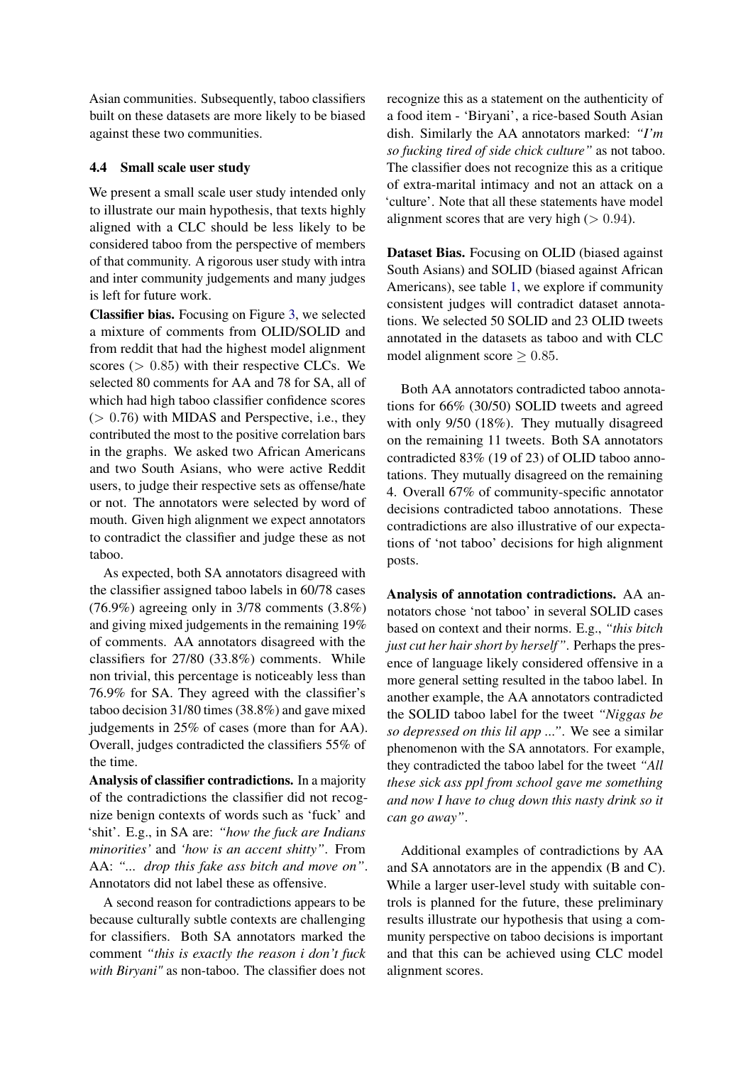Asian communities. Subsequently, taboo classifiers built on these datasets are more likely to be biased against these two communities.

## 4.4 Small scale user study

We present a small scale user study intended only to illustrate our main hypothesis, that texts highly aligned with a CLC should be less likely to be considered taboo from the perspective of members of that community. A rigorous user study with intra and inter community judgements and many judges is left for future work.

Classifier bias. Focusing on Figure [3,](#page-4-0) we selected a mixture of comments from OLID/SOLID and from reddit that had the highest model alignment scores  $(> 0.85)$  with their respective CLCs. We selected 80 comments for AA and 78 for SA, all of which had high taboo classifier confidence scores  $(> 0.76)$  with MIDAS and Perspective, i.e., they contributed the most to the positive correlation bars in the graphs. We asked two African Americans and two South Asians, who were active Reddit users, to judge their respective sets as offense/hate or not. The annotators were selected by word of mouth. Given high alignment we expect annotators to contradict the classifier and judge these as not taboo.

As expected, both SA annotators disagreed with the classifier assigned taboo labels in 60/78 cases (76.9%) agreeing only in 3/78 comments (3.8%) and giving mixed judgements in the remaining 19% of comments. AA annotators disagreed with the classifiers for 27/80 (33.8%) comments. While non trivial, this percentage is noticeably less than 76.9% for SA. They agreed with the classifier's taboo decision 31/80 times (38.8%) and gave mixed judgements in 25% of cases (more than for AA). Overall, judges contradicted the classifiers 55% of the time.

Analysis of classifier contradictions. In a majority of the contradictions the classifier did not recognize benign contexts of words such as 'fuck' and 'shit'. E.g., in SA are: *"how the fuck are Indians minorities'* and *'how is an accent shitty"*. From AA: *"... drop this fake ass bitch and move on"*. Annotators did not label these as offensive.

A second reason for contradictions appears to be because culturally subtle contexts are challenging for classifiers. Both SA annotators marked the comment *"this is exactly the reason i don't fuck with Biryani"* as non-taboo. The classifier does not recognize this as a statement on the authenticity of a food item - 'Biryani', a rice-based South Asian dish. Similarly the AA annotators marked: *"I'm so fucking tired of side chick culture"* as not taboo. The classifier does not recognize this as a critique of extra-marital intimacy and not an attack on a 'culture'. Note that all these statements have model alignment scores that are very high  $(> 0.94)$ .

Dataset Bias. Focusing on OLID (biased against South Asians) and SOLID (biased against African Americans), see table [1,](#page-2-6) we explore if community consistent judges will contradict dataset annotations. We selected 50 SOLID and 23 OLID tweets annotated in the datasets as taboo and with CLC model alignment score  $> 0.85$ .

Both AA annotators contradicted taboo annotations for 66% (30/50) SOLID tweets and agreed with only 9/50 (18%). They mutually disagreed on the remaining 11 tweets. Both SA annotators contradicted 83% (19 of 23) of OLID taboo annotations. They mutually disagreed on the remaining 4. Overall 67% of community-specific annotator decisions contradicted taboo annotations. These contradictions are also illustrative of our expectations of 'not taboo' decisions for high alignment posts.

Analysis of annotation contradictions. AA annotators chose 'not taboo' in several SOLID cases based on context and their norms. E.g., *"this bitch just cut her hair short by herself"*. Perhaps the presence of language likely considered offensive in a more general setting resulted in the taboo label. In another example, the AA annotators contradicted the SOLID taboo label for the tweet *"Niggas be so depressed on this lil app ..."*. We see a similar phenomenon with the SA annotators. For example, they contradicted the taboo label for the tweet *"All these sick ass ppl from school gave me something and now I have to chug down this nasty drink so it can go away"*.

Additional examples of contradictions by AA and SA annotators are in the appendix (B and C). While a larger user-level study with suitable controls is planned for the future, these preliminary results illustrate our hypothesis that using a community perspective on taboo decisions is important and that this can be achieved using CLC model alignment scores.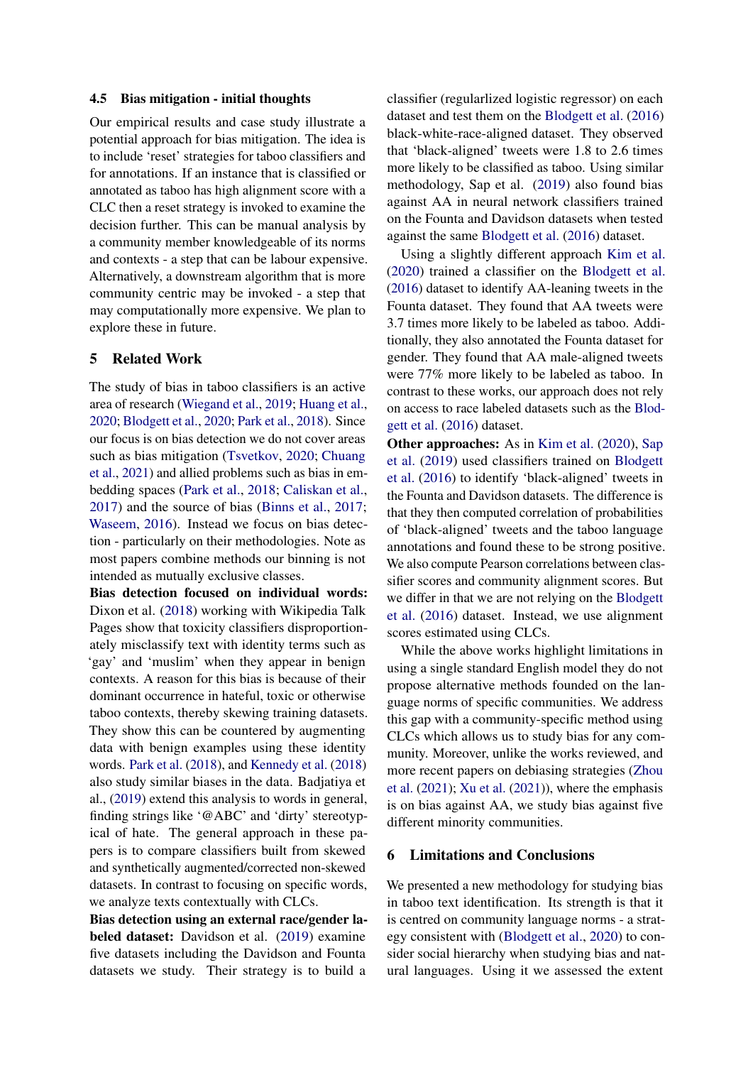#### 4.5 Bias mitigation - initial thoughts

Our empirical results and case study illustrate a potential approach for bias mitigation. The idea is to include 'reset' strategies for taboo classifiers and for annotations. If an instance that is classified or annotated as taboo has high alignment score with a CLC then a reset strategy is invoked to examine the decision further. This can be manual analysis by a community member knowledgeable of its norms and contexts - a step that can be labour expensive. Alternatively, a downstream algorithm that is more community centric may be invoked - a step that may computationally more expensive. We plan to explore these in future.

## 5 Related Work

The study of bias in taboo classifiers is an active area of research [\(Wiegand et al.,](#page-10-8) [2019;](#page-10-8) [Huang et al.,](#page-9-18) [2020;](#page-9-18) [Blodgett et al.,](#page-8-2) [2020;](#page-8-2) [Park et al.,](#page-9-19) [2018\)](#page-9-19). Since our focus is on bias detection we do not cover areas such as bias mitigation [\(Tsvetkov,](#page-10-9) [2020;](#page-10-9) [Chuang](#page-8-4) [et al.,](#page-8-4) [2021\)](#page-8-4) and allied problems such as bias in embedding spaces [\(Park et al.,](#page-9-19) [2018;](#page-9-19) [Caliskan et al.,](#page-8-14) [2017\)](#page-8-14) and the source of bias [\(Binns et al.,](#page-8-15) [2017;](#page-8-15) [Waseem,](#page-10-10) [2016\)](#page-10-10). Instead we focus on bias detection - particularly on their methodologies. Note as most papers combine methods our binning is not intended as mutually exclusive classes.

Bias detection focused on individual words: Dixon et al. [\(2018\)](#page-9-1) working with Wikipedia Talk Pages show that toxicity classifiers disproportionately misclassify text with identity terms such as 'gay' and 'muslim' when they appear in benign contexts. A reason for this bias is because of their dominant occurrence in hateful, toxic or otherwise taboo contexts, thereby skewing training datasets. They show this can be countered by augmenting data with benign examples using these identity words. [Park et al.](#page-9-19) [\(2018\)](#page-9-19), and [Kennedy et al.](#page-9-14) [\(2018\)](#page-9-14) also study similar biases in the data. Badjatiya et al., [\(2019\)](#page-8-6) extend this analysis to words in general, finding strings like '@ABC' and 'dirty' stereotypical of hate. The general approach in these papers is to compare classifiers built from skewed and synthetically augmented/corrected non-skewed datasets. In contrast to focusing on specific words, we analyze texts contextually with CLCs.

Bias detection using an external race/gender labeled dataset: Davidson et al. [\(2019\)](#page-8-12) examine five datasets including the Davidson and Founta datasets we study. Their strategy is to build a

classifier (regularlized logistic regressor) on each dataset and test them on the [Blodgett et al.](#page-8-7) [\(2016\)](#page-8-7) black-white-race-aligned dataset. They observed that 'black-aligned' tweets were 1.8 to 2.6 times more likely to be classified as taboo. Using similar methodology, Sap et al. [\(2019\)](#page-9-3) also found bias against AA in neural network classifiers trained on the Founta and Davidson datasets when tested against the same [Blodgett et al.](#page-8-7) [\(2016\)](#page-8-7) dataset.

Using a slightly different approach [Kim et al.](#page-9-20) [\(2020\)](#page-9-20) trained a classifier on the [Blodgett et al.](#page-8-7) [\(2016\)](#page-8-7) dataset to identify AA-leaning tweets in the Founta dataset. They found that AA tweets were 3.7 times more likely to be labeled as taboo. Additionally, they also annotated the Founta dataset for gender. They found that AA male-aligned tweets were 77% more likely to be labeled as taboo. In contrast to these works, our approach does not rely on access to race labeled datasets such as the [Blod](#page-8-7)[gett et al.](#page-8-7) [\(2016\)](#page-8-7) dataset.

Other approaches: As in [Kim et al.](#page-9-20) [\(2020\)](#page-9-20), [Sap](#page-9-3) [et al.](#page-9-3) [\(2019\)](#page-9-3) used classifiers trained on [Blodgett](#page-8-7) [et al.](#page-8-7) [\(2016\)](#page-8-7) to identify 'black-aligned' tweets in the Founta and Davidson datasets. The difference is that they then computed correlation of probabilities of 'black-aligned' tweets and the taboo language annotations and found these to be strong positive. We also compute Pearson correlations between classifier scores and community alignment scores. But we differ in that we are not relying on the [Blodgett](#page-8-7) [et al.](#page-8-7) [\(2016\)](#page-8-7) dataset. Instead, we use alignment scores estimated using CLCs.

While the above works highlight limitations in using a single standard English model they do not propose alternative methods founded on the language norms of specific communities. We address this gap with a community-specific method using CLCs which allows us to study bias for any community. Moreover, unlike the works reviewed, and more recent papers on debiasing strategies [\(Zhou](#page-10-2) [et al.](#page-10-2) [\(2021\)](#page-10-2); [Xu et al.](#page-10-11) [\(2021\)](#page-10-11)), where the emphasis is on bias against AA, we study bias against five different minority communities.

### 6 Limitations and Conclusions

We presented a new methodology for studying bias in taboo text identification. Its strength is that it is centred on community language norms - a strategy consistent with [\(Blodgett et al.,](#page-8-2) [2020\)](#page-8-2) to consider social hierarchy when studying bias and natural languages. Using it we assessed the extent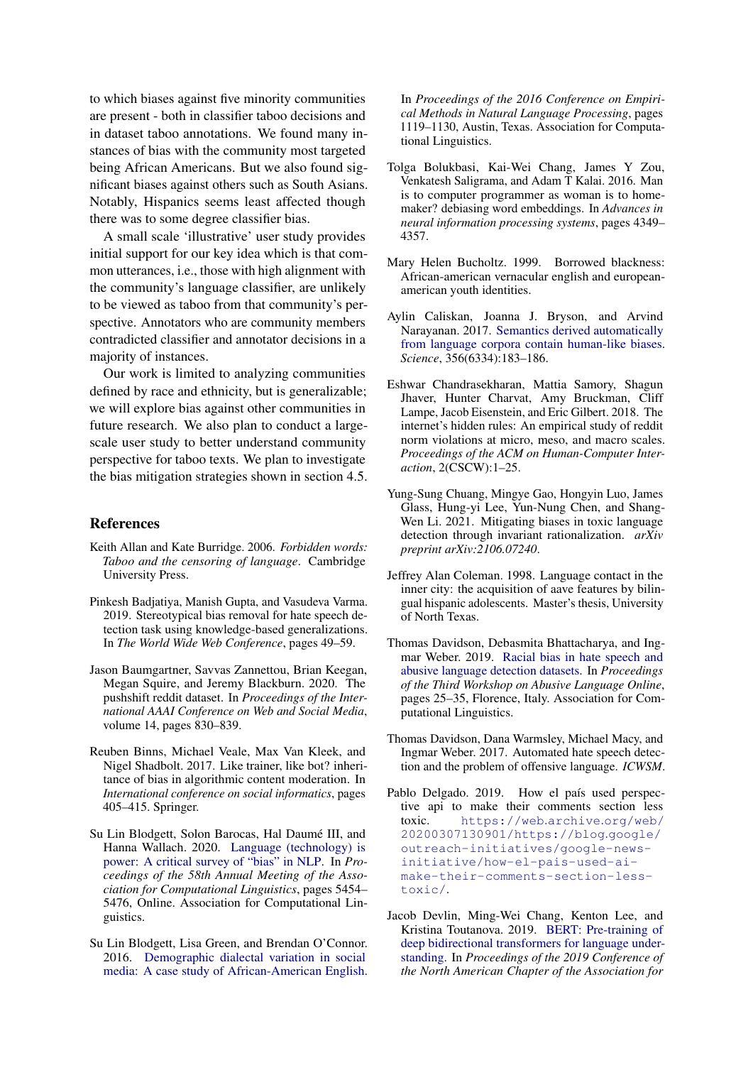to which biases against five minority communities are present - both in classifier taboo decisions and in dataset taboo annotations. We found many instances of bias with the community most targeted being African Americans. But we also found significant biases against others such as South Asians. Notably, Hispanics seems least affected though there was to some degree classifier bias.

A small scale 'illustrative' user study provides initial support for our key idea which is that common utterances, i.e., those with high alignment with the community's language classifier, are unlikely to be viewed as taboo from that community's perspective. Annotators who are community members contradicted classifier and annotator decisions in a majority of instances.

Our work is limited to analyzing communities defined by race and ethnicity, but is generalizable; we will explore bias against other communities in future research. We also plan to conduct a largescale user study to better understand community perspective for taboo texts. We plan to investigate the bias mitigation strategies shown in section 4.5.

## References

- <span id="page-8-0"></span>Keith Allan and Kate Burridge. 2006. *Forbidden words: Taboo and the censoring of language*. Cambridge University Press.
- <span id="page-8-6"></span>Pinkesh Badjatiya, Manish Gupta, and Vasudeva Varma. 2019. Stereotypical bias removal for hate speech detection task using knowledge-based generalizations. In *The World Wide Web Conference*, pages 49–59.
- <span id="page-8-9"></span>Jason Baumgartner, Savvas Zannettou, Brian Keegan, Megan Squire, and Jeremy Blackburn. 2020. The pushshift reddit dataset. In *Proceedings of the International AAAI Conference on Web and Social Media*, volume 14, pages 830–839.
- <span id="page-8-15"></span>Reuben Binns, Michael Veale, Max Van Kleek, and Nigel Shadbolt. 2017. Like trainer, like bot? inheritance of bias in algorithmic content moderation. In *International conference on social informatics*, pages 405–415. Springer.
- <span id="page-8-2"></span>Su Lin Blodgett, Solon Barocas, Hal Daumé III, and Hanna Wallach. 2020. [Language \(technology\) is](https://doi.org/10.18653/v1/2020.acl-main.485) [power: A critical survey of "bias" in NLP.](https://doi.org/10.18653/v1/2020.acl-main.485) In *Proceedings of the 58th Annual Meeting of the Association for Computational Linguistics*, pages 5454– 5476, Online. Association for Computational Linguistics.
- <span id="page-8-7"></span>Su Lin Blodgett, Lisa Green, and Brendan O'Connor. 2016. [Demographic dialectal variation in social](https://doi.org/10.18653/v1/D16-1120) [media: A case study of African-American English.](https://doi.org/10.18653/v1/D16-1120)

In *Proceedings of the 2016 Conference on Empirical Methods in Natural Language Processing*, pages 1119–1130, Austin, Texas. Association for Computational Linguistics.

- <span id="page-8-3"></span>Tolga Bolukbasi, Kai-Wei Chang, James Y Zou, Venkatesh Saligrama, and Adam T Kalai. 2016. Man is to computer programmer as woman is to homemaker? debiasing word embeddings. In *Advances in neural information processing systems*, pages 4349– 4357.
- <span id="page-8-10"></span>Mary Helen Bucholtz. 1999. Borrowed blackness: African-american vernacular english and europeanamerican youth identities.
- <span id="page-8-14"></span>Aylin Caliskan, Joanna J. Bryson, and Arvind Narayanan. 2017. [Semantics derived automatically](https://doi.org/10.1126/science.aal4230) [from language corpora contain human-like biases.](https://doi.org/10.1126/science.aal4230) *Science*, 356(6334):183–186.
- <span id="page-8-1"></span>Eshwar Chandrasekharan, Mattia Samory, Shagun Jhaver, Hunter Charvat, Amy Bruckman, Cliff Lampe, Jacob Eisenstein, and Eric Gilbert. 2018. The internet's hidden rules: An empirical study of reddit norm violations at micro, meso, and macro scales. *Proceedings of the ACM on Human-Computer Interaction*, 2(CSCW):1–25.
- <span id="page-8-4"></span>Yung-Sung Chuang, Mingye Gao, Hongyin Luo, James Glass, Hung-yi Lee, Yun-Nung Chen, and Shang-Wen Li. 2021. Mitigating biases in toxic language detection through invariant rationalization. *arXiv preprint arXiv:2106.07240*.
- <span id="page-8-11"></span>Jeffrey Alan Coleman. 1998. Language contact in the inner city: the acquisition of aave features by bilingual hispanic adolescents. Master's thesis, University of North Texas.
- <span id="page-8-12"></span>Thomas Davidson, Debasmita Bhattacharya, and Ingmar Weber. 2019. [Racial bias in hate speech and](https://doi.org/10.18653/v1/W19-3504) [abusive language detection datasets.](https://doi.org/10.18653/v1/W19-3504) In *Proceedings of the Third Workshop on Abusive Language Online*, pages 25–35, Florence, Italy. Association for Computational Linguistics.
- <span id="page-8-5"></span>Thomas Davidson, Dana Warmsley, Michael Macy, and Ingmar Weber. 2017. Automated hate speech detection and the problem of offensive language. *ICWSM*.
- <span id="page-8-13"></span>Pablo Delgado. 2019. How el país used perspective api to make their comments section less toxic. [https://web](https://web.archive.org/web/20200307130901/https://blog.google/outreach-initiatives/google-news-initiative/how-el-pais-used-ai-make-their-comments-section-less-toxic/).archive.org/web/ [20200307130901/https://blog](https://web.archive.org/web/20200307130901/https://blog.google/outreach-initiatives/google-news-initiative/how-el-pais-used-ai-make-their-comments-section-less-toxic/).google/ [outreach-initiatives/google-news](https://web.archive.org/web/20200307130901/https://blog.google/outreach-initiatives/google-news-initiative/how-el-pais-used-ai-make-their-comments-section-less-toxic/)[initiative/how-el-pais-used-ai](https://web.archive.org/web/20200307130901/https://blog.google/outreach-initiatives/google-news-initiative/how-el-pais-used-ai-make-their-comments-section-less-toxic/)[make-their-comments-section-less](https://web.archive.org/web/20200307130901/https://blog.google/outreach-initiatives/google-news-initiative/how-el-pais-used-ai-make-their-comments-section-less-toxic/)[toxic/](https://web.archive.org/web/20200307130901/https://blog.google/outreach-initiatives/google-news-initiative/how-el-pais-used-ai-make-their-comments-section-less-toxic/).
- <span id="page-8-8"></span>Jacob Devlin, Ming-Wei Chang, Kenton Lee, and Kristina Toutanova. 2019. [BERT: Pre-training of](https://doi.org/10.18653/v1/N19-1423) [deep bidirectional transformers for language under](https://doi.org/10.18653/v1/N19-1423)[standing.](https://doi.org/10.18653/v1/N19-1423) In *Proceedings of the 2019 Conference of the North American Chapter of the Association for*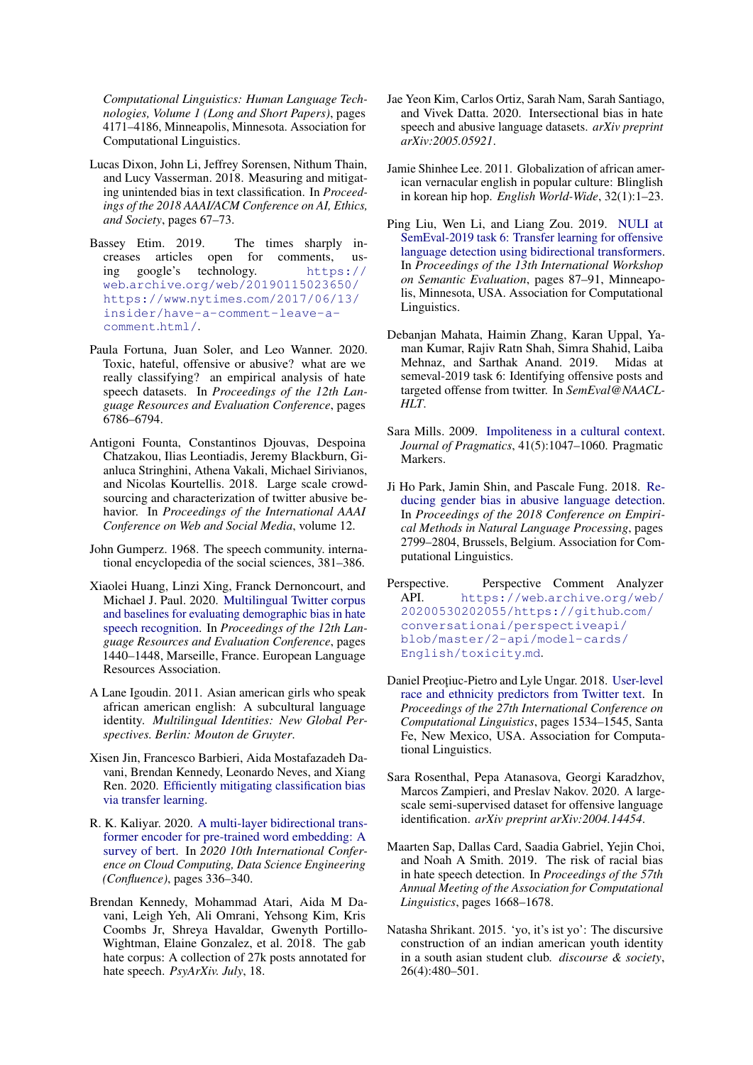*Computational Linguistics: Human Language Technologies, Volume 1 (Long and Short Papers)*, pages 4171–4186, Minneapolis, Minnesota. Association for Computational Linguistics.

- <span id="page-9-1"></span>Lucas Dixon, John Li, Jeffrey Sorensen, Nithum Thain, and Lucy Vasserman. 2018. Measuring and mitigating unintended bias in text classification. In *Proceedings of the 2018 AAAI/ACM Conference on AI, Ethics, and Society*, pages 67–73.
- <span id="page-9-17"></span>Bassey Etim. 2019. The times sharply increases articles open for comments, using google's technology. [https://](https://web.archive.org/web/20190115023650/https://www.nytimes.com/2017/06/13/insider/have-a-comment-leave-a-comment.html/) web.archive.[org/web/20190115023650/](https://web.archive.org/web/20190115023650/https://www.nytimes.com/2017/06/13/insider/have-a-comment-leave-a-comment.html/) https://www.nytimes.[com/2017/06/13/](https://web.archive.org/web/20190115023650/https://www.nytimes.com/2017/06/13/insider/have-a-comment-leave-a-comment.html/) [insider/have-a-comment-leave-a](https://web.archive.org/web/20190115023650/https://www.nytimes.com/2017/06/13/insider/have-a-comment-leave-a-comment.html/)[comment](https://web.archive.org/web/20190115023650/https://www.nytimes.com/2017/06/13/insider/have-a-comment-leave-a-comment.html/).html/.
- <span id="page-9-2"></span>Paula Fortuna, Juan Soler, and Leo Wanner. 2020. Toxic, hateful, offensive or abusive? what are we really classifying? an empirical analysis of hate speech datasets. In *Proceedings of the 12th Language Resources and Evaluation Conference*, pages 6786–6794.
- <span id="page-9-16"></span>Antigoni Founta, Constantinos Djouvas, Despoina Chatzakou, Ilias Leontiadis, Jeremy Blackburn, Gianluca Stringhini, Athena Vakali, Michael Sirivianos, and Nicolas Kourtellis. 2018. Large scale crowdsourcing and characterization of twitter abusive behavior. In *Proceedings of the International AAAI Conference on Web and Social Media*, volume 12.
- <span id="page-9-0"></span>John Gumperz. 1968. The speech community. international encyclopedia of the social sciences, 381–386.
- <span id="page-9-18"></span>Xiaolei Huang, Linzi Xing, Franck Dernoncourt, and Michael J. Paul. 2020. [Multilingual Twitter corpus](https://www.aclweb.org/anthology/2020.lrec-1.180) [and baselines for evaluating demographic bias in hate](https://www.aclweb.org/anthology/2020.lrec-1.180) [speech recognition.](https://www.aclweb.org/anthology/2020.lrec-1.180) In *Proceedings of the 12th Language Resources and Evaluation Conference*, pages 1440–1448, Marseille, France. European Language Resources Association.
- <span id="page-9-7"></span>A Lane Igoudin. 2011. Asian american girls who speak african american english: A subcultural language identity. *Multilingual Identities: New Global Perspectives. Berlin: Mouton de Gruyter*.
- <span id="page-9-15"></span>Xisen Jin, Francesco Barbieri, Aida Mostafazadeh Davani, Brendan Kennedy, Leonardo Neves, and Xiang Ren. 2020. [Efficiently mitigating classification bias](http://arxiv.org/abs/2010.12864) [via transfer learning.](http://arxiv.org/abs/2010.12864)
- <span id="page-9-6"></span>R. K. Kaliyar. 2020. [A multi-layer bidirectional trans](https://doi.org/10.1109/Confluence47617.2020.9058044)[former encoder for pre-trained word embedding: A](https://doi.org/10.1109/Confluence47617.2020.9058044) [survey of bert.](https://doi.org/10.1109/Confluence47617.2020.9058044) In *2020 10th International Conference on Cloud Computing, Data Science Engineering (Confluence)*, pages 336–340.
- <span id="page-9-14"></span>Brendan Kennedy, Mohammad Atari, Aida M Davani, Leigh Yeh, Ali Omrani, Yehsong Kim, Kris Coombs Jr, Shreya Havaldar, Gwenyth Portillo-Wightman, Elaine Gonzalez, et al. 2018. The gab hate corpus: A collection of 27k posts annotated for hate speech. *PsyArXiv. July*, 18.
- <span id="page-9-20"></span>Jae Yeon Kim, Carlos Ortiz, Sarah Nam, Sarah Santiago, and Vivek Datta. 2020. Intersectional bias in hate speech and abusive language datasets. *arXiv preprint arXiv:2005.05921*.
- <span id="page-9-8"></span>Jamie Shinhee Lee. 2011. Globalization of african american vernacular english in popular culture: Blinglish in korean hip hop. *English World-Wide*, 32(1):1–23.
- <span id="page-9-10"></span>Ping Liu, Wen Li, and Liang Zou. 2019. [NULI at](https://doi.org/10.18653/v1/S19-2011) [SemEval-2019 task 6: Transfer learning for offensive](https://doi.org/10.18653/v1/S19-2011) [language detection using bidirectional transformers.](https://doi.org/10.18653/v1/S19-2011) In *Proceedings of the 13th International Workshop on Semantic Evaluation*, pages 87–91, Minneapolis, Minnesota, USA. Association for Computational Linguistics.
- <span id="page-9-11"></span>Debanjan Mahata, Haimin Zhang, Karan Uppal, Yaman Kumar, Rajiv Ratn Shah, Simra Shahid, Laiba Mehnaz, and Sarthak Anand. 2019. Midas at semeval-2019 task 6: Identifying offensive posts and targeted offense from twitter. In *SemEval@NAACL-HLT*.
- <span id="page-9-5"></span>Sara Mills. 2009. [Impoliteness in a cultural context.](https://doi.org/https://doi.org/10.1016/j.pragma.2008.10.014) *Journal of Pragmatics*, 41(5):1047–1060. Pragmatic Markers.
- <span id="page-9-19"></span>Ji Ho Park, Jamin Shin, and Pascale Fung. 2018. [Re](https://doi.org/10.18653/v1/D18-1302)[ducing gender bias in abusive language detection.](https://doi.org/10.18653/v1/D18-1302) In *Proceedings of the 2018 Conference on Empirical Methods in Natural Language Processing*, pages 2799–2804, Brussels, Belgium. Association for Computational Linguistics.
- <span id="page-9-12"></span>Perspective. Perspective Comment Analyzer API. [https://web](https://web.archive.org/web/20200530202055/https://github.com/conversationai/perspectiveapi/blob/master/2-api/model-cards/English/toxicity.md).archive.org/web/ [20200530202055/https://github](https://web.archive.org/web/20200530202055/https://github.com/conversationai/perspectiveapi/blob/master/2-api/model-cards/English/toxicity.md).com/ [conversationai/perspectiveapi/](https://web.archive.org/web/20200530202055/https://github.com/conversationai/perspectiveapi/blob/master/2-api/model-cards/English/toxicity.md) [blob/master/2-api/model-cards/](https://web.archive.org/web/20200530202055/https://github.com/conversationai/perspectiveapi/blob/master/2-api/model-cards/English/toxicity.md) [English/toxicity](https://web.archive.org/web/20200530202055/https://github.com/conversationai/perspectiveapi/blob/master/2-api/model-cards/English/toxicity.md).md.
- <span id="page-9-4"></span>Daniel Preoțiuc-Pietro and Lyle Ungar. 2018. [User-level](https://www.aclweb.org/anthology/C18-1130) [race and ethnicity predictors from Twitter text.](https://www.aclweb.org/anthology/C18-1130) In *Proceedings of the 27th International Conference on Computational Linguistics*, pages 1534–1545, Santa Fe, New Mexico, USA. Association for Computational Linguistics.
- <span id="page-9-13"></span>Sara Rosenthal, Pepa Atanasova, Georgi Karadzhov, Marcos Zampieri, and Preslav Nakov. 2020. A largescale semi-supervised dataset for offensive language identification. *arXiv preprint arXiv:2004.14454*.
- <span id="page-9-3"></span>Maarten Sap, Dallas Card, Saadia Gabriel, Yejin Choi, and Noah A Smith. 2019. The risk of racial bias in hate speech detection. In *Proceedings of the 57th Annual Meeting of the Association for Computational Linguistics*, pages 1668–1678.
- <span id="page-9-9"></span>Natasha Shrikant. 2015. 'yo, it's ist yo': The discursive construction of an indian american youth identity in a south asian student club. *discourse & society*, 26(4):480–501.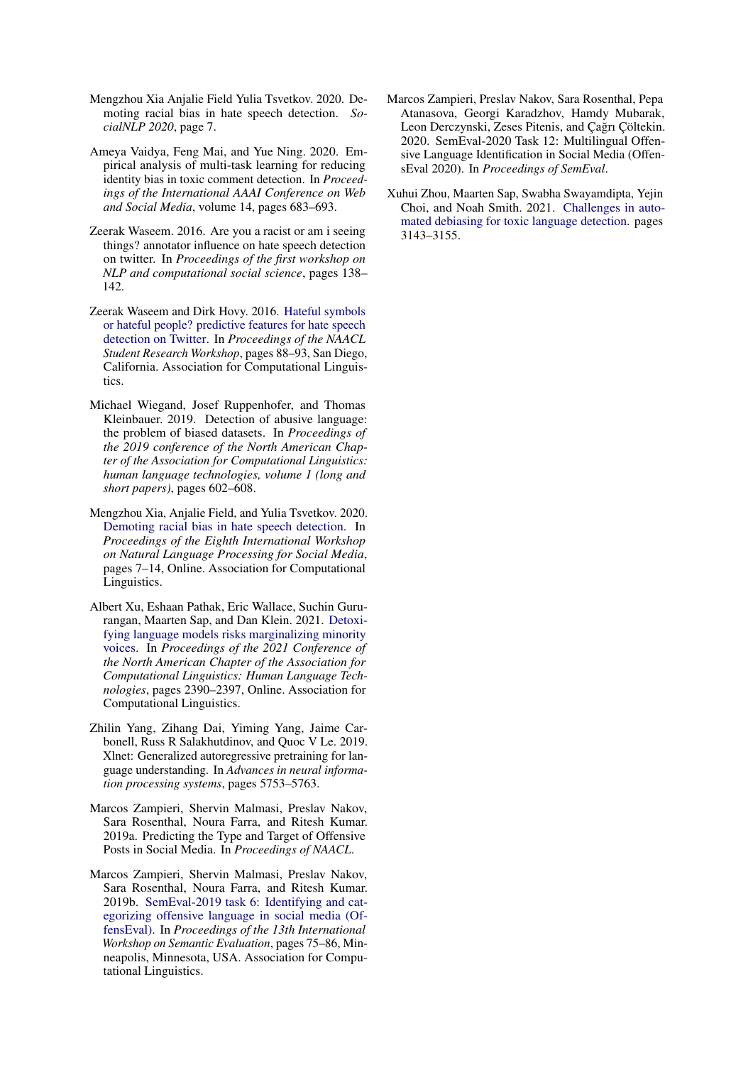- <span id="page-10-9"></span>Mengzhou Xia Anjalie Field Yulia Tsvetkov. 2020. Demoting racial bias in hate speech detection. *SocialNLP 2020*, page 7.
- <span id="page-10-6"></span>Ameya Vaidya, Feng Mai, and Yue Ning. 2020. Empirical analysis of multi-task learning for reducing identity bias in toxic comment detection. In *Proceedings of the International AAAI Conference on Web and Social Media*, volume 14, pages 683–693.
- <span id="page-10-10"></span>Zeerak Waseem. 2016. Are you a racist or am i seeing things? annotator influence on hate speech detection on twitter. In *Proceedings of the first workshop on NLP and computational social science*, pages 138– 142.
- <span id="page-10-7"></span>Zeerak Waseem and Dirk Hovy. 2016. [Hateful symbols](https://doi.org/10.18653/v1/N16-2013) [or hateful people? predictive features for hate speech](https://doi.org/10.18653/v1/N16-2013) [detection on Twitter.](https://doi.org/10.18653/v1/N16-2013) In *Proceedings of the NAACL Student Research Workshop*, pages 88–93, San Diego, California. Association for Computational Linguistics.
- <span id="page-10-8"></span>Michael Wiegand, Josef Ruppenhofer, and Thomas Kleinbauer. 2019. Detection of abusive language: the problem of biased datasets. In *Proceedings of the 2019 conference of the North American Chapter of the Association for Computational Linguistics: human language technologies, volume 1 (long and short papers)*, pages 602–608.
- <span id="page-10-3"></span>Mengzhou Xia, Anjalie Field, and Yulia Tsvetkov. 2020. [Demoting racial bias in hate speech detection.](https://doi.org/10.18653/v1/2020.socialnlp-1.2) In *Proceedings of the Eighth International Workshop on Natural Language Processing for Social Media*, pages 7–14, Online. Association for Computational Linguistics.
- <span id="page-10-11"></span>Albert Xu, Eshaan Pathak, Eric Wallace, Suchin Gururangan, Maarten Sap, and Dan Klein. 2021. [Detoxi](https://doi.org/10.18653/v1/2021.naacl-main.190)[fying language models risks marginalizing minority](https://doi.org/10.18653/v1/2021.naacl-main.190) [voices.](https://doi.org/10.18653/v1/2021.naacl-main.190) In *Proceedings of the 2021 Conference of the North American Chapter of the Association for Computational Linguistics: Human Language Technologies*, pages 2390–2397, Online. Association for Computational Linguistics.
- <span id="page-10-4"></span>Zhilin Yang, Zihang Dai, Yiming Yang, Jaime Carbonell, Russ R Salakhutdinov, and Quoc V Le. 2019. Xlnet: Generalized autoregressive pretraining for language understanding. In *Advances in neural information processing systems*, pages 5753–5763.
- <span id="page-10-5"></span>Marcos Zampieri, Shervin Malmasi, Preslav Nakov, Sara Rosenthal, Noura Farra, and Ritesh Kumar. 2019a. Predicting the Type and Target of Offensive Posts in Social Media. In *Proceedings of NAACL*.
- <span id="page-10-0"></span>Marcos Zampieri, Shervin Malmasi, Preslav Nakov, Sara Rosenthal, Noura Farra, and Ritesh Kumar. 2019b. [SemEval-2019 task 6: Identifying and cat](https://doi.org/10.18653/v1/S19-2010)[egorizing offensive language in social media \(Of](https://doi.org/10.18653/v1/S19-2010)[fensEval\).](https://doi.org/10.18653/v1/S19-2010) In *Proceedings of the 13th International Workshop on Semantic Evaluation*, pages 75–86, Minneapolis, Minnesota, USA. Association for Computational Linguistics.
- <span id="page-10-1"></span>Marcos Zampieri, Preslav Nakov, Sara Rosenthal, Pepa Atanasova, Georgi Karadzhov, Hamdy Mubarak, Leon Derczynski, Zeses Pitenis, and Çağrı Çöltekin. 2020. SemEval-2020 Task 12: Multilingual Offensive Language Identification in Social Media (OffensEval 2020). In *Proceedings of SemEval*.
- <span id="page-10-2"></span>Xuhui Zhou, Maarten Sap, Swabha Swayamdipta, Yejin Choi, and Noah Smith. 2021. [Challenges in auto](https://aclanthology.org/2021.eacl-main.274)[mated debiasing for toxic language detection.](https://aclanthology.org/2021.eacl-main.274) pages 3143–3155.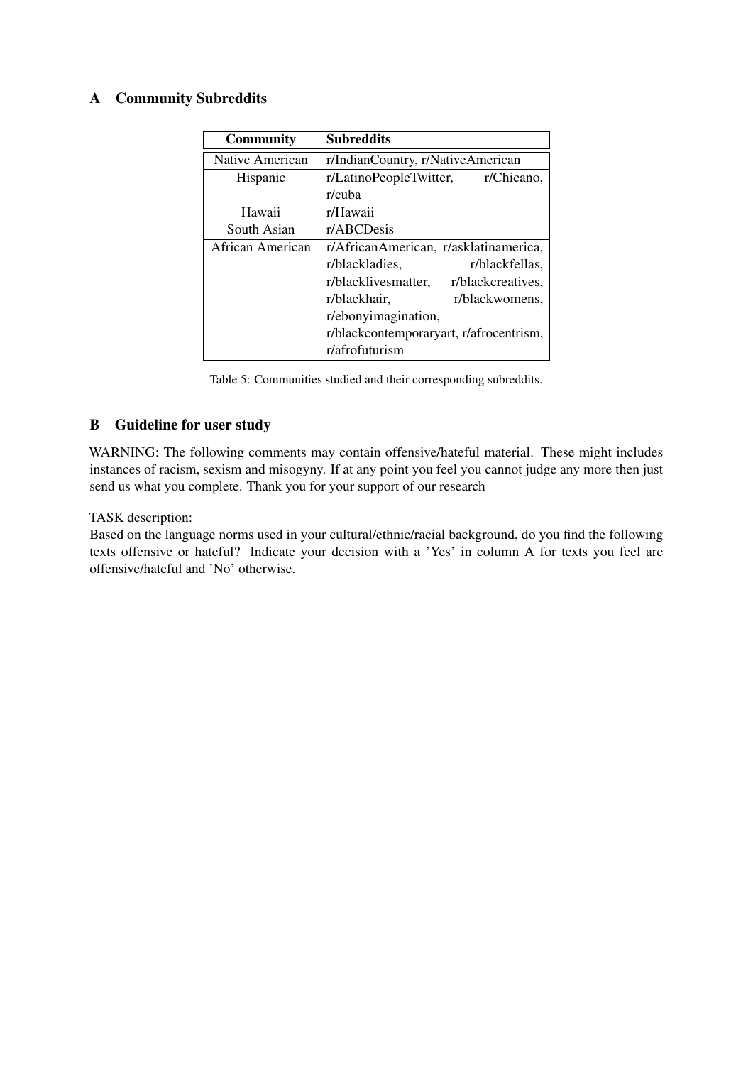# A Community Subreddits

| <b>Community</b> | <b>Subreddits</b>                        |  |  |  |
|------------------|------------------------------------------|--|--|--|
| Native American  | r/IndianCountry, r/NativeAmerican        |  |  |  |
| Hispanic         | r/LatinoPeopleTwitter, r/Chicano,        |  |  |  |
|                  | r/cuba                                   |  |  |  |
| Hawaii           | r/Hawaii                                 |  |  |  |
| South Asian      | r/ABCDesis                               |  |  |  |
| African American | r/AfricanAmerican, r/asklatinamerica,    |  |  |  |
|                  | r/blackfellas,<br>r/blackladies,         |  |  |  |
|                  | r/blacklivesmatter,<br>r/blackcreatives, |  |  |  |
|                  | r/blackhair,<br>r/blackwomens,           |  |  |  |
|                  | r/ebonyimagination,                      |  |  |  |
|                  | r/blackcontemporaryart, r/afrocentrism,  |  |  |  |
|                  | r/afrofuturism                           |  |  |  |

Table 5: Communities studied and their corresponding subreddits.

## B Guideline for user study

WARNING: The following comments may contain offensive/hateful material. These might includes instances of racism, sexism and misogyny. If at any point you feel you cannot judge any more then just send us what you complete. Thank you for your support of our research

## TASK description:

Based on the language norms used in your cultural/ethnic/racial background, do you find the following texts offensive or hateful? Indicate your decision with a 'Yes' in column A for texts you feel are offensive/hateful and 'No' otherwise.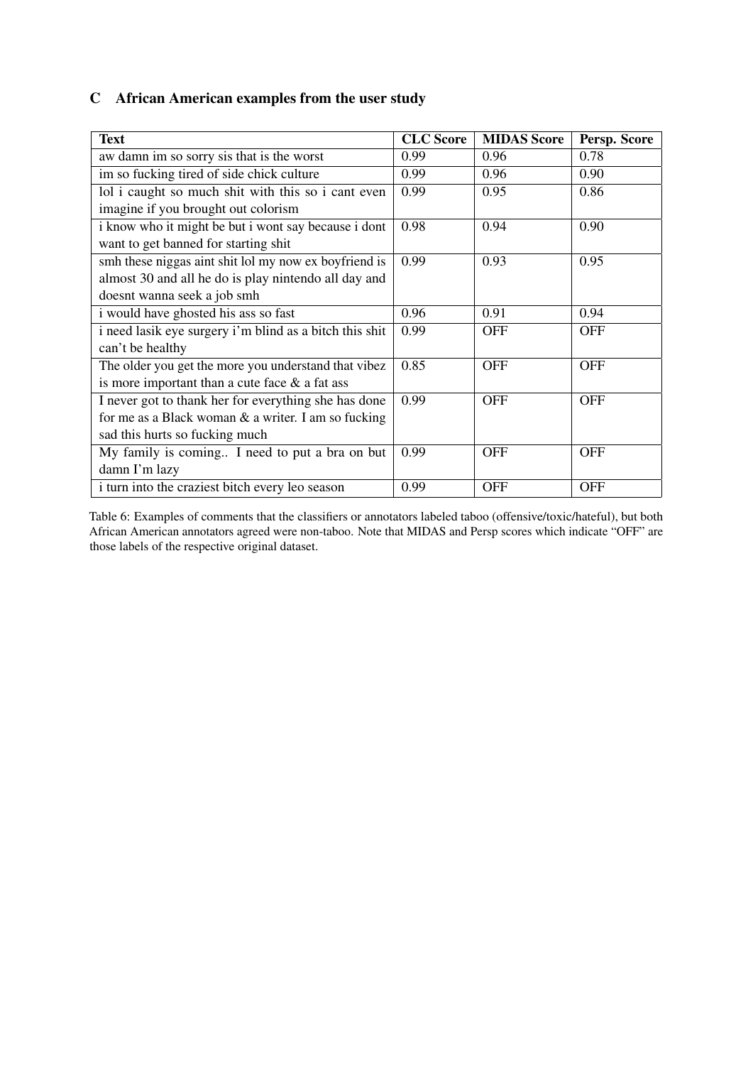# C African American examples from the user study

| <b>Text</b>                                             | <b>CLC</b> Score | <b>MIDAS Score</b> | Persp. Score |
|---------------------------------------------------------|------------------|--------------------|--------------|
| aw damn im so sorry sis that is the worst               | 0.99             | 0.96               | 0.78         |
| im so fucking tired of side chick culture               | 0.99             | 0.96               | 0.90         |
| lol i caught so much shit with this so i cant even      | 0.99             | 0.95               | 0.86         |
| imagine if you brought out colorism                     |                  |                    |              |
| i know who it might be but i wont say because i dont    | 0.98             | 0.94               | 0.90         |
| want to get banned for starting shit                    |                  |                    |              |
| smh these niggas aint shit lol my now ex boyfriend is   | 0.99             | 0.93               | 0.95         |
| almost 30 and all he do is play nintendo all day and    |                  |                    |              |
| doesnt wanna seek a job smh                             |                  |                    |              |
| i would have ghosted his ass so fast                    | 0.96             | 0.91               | 0.94         |
| i need lasik eye surgery i'm blind as a bitch this shit | 0.99             | <b>OFF</b>         | <b>OFF</b>   |
| can't be healthy                                        |                  |                    |              |
| The older you get the more you understand that vibez    | 0.85             | <b>OFF</b>         | <b>OFF</b>   |
| is more important than a cute face $\&$ a fat ass       |                  |                    |              |
| I never got to thank her for everything she has done    | 0.99             | <b>OFF</b>         | <b>OFF</b>   |
| for me as a Black woman $\&$ a writer. I am so fucking  |                  |                    |              |
| sad this hurts so fucking much                          |                  |                    |              |
| My family is coming I need to put a bra on but          | 0.99             | <b>OFF</b>         | <b>OFF</b>   |
| damn I'm lazy                                           |                  |                    |              |
| i turn into the craziest bitch every leo season         | 0.99             | <b>OFF</b>         | <b>OFF</b>   |

Table 6: Examples of comments that the classifiers or annotators labeled taboo (offensive/toxic/hateful), but both African American annotators agreed were non-taboo. Note that MIDAS and Persp scores which indicate "OFF" are those labels of the respective original dataset.